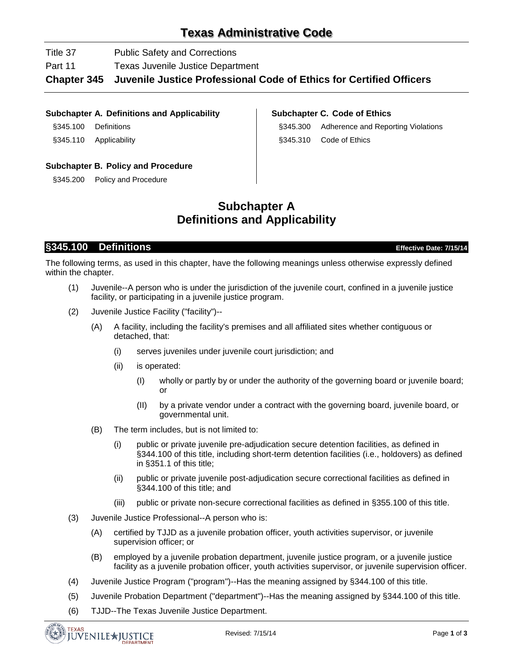# **Texas Administrative Code**

Title 37 Public Safety and Corrections

Part 11 Texas Juvenile Justice Department

**Chapter 345 Juvenile Justice Professional Code of Ethics for Certified Officers**

### **Subchapter A. Definitions [and Applicability](#page-0-0)**

§345.100 [Definitions](#page-0-1) §345.110 [Applicability](#page-1-0)

### **Subchapter B. [Policy and Procedure](#page-1-1)**

<span id="page-0-0"></span>§345.200 [Policy and Procedure](#page-1-2)

## **Subchapter A Definitions and Applicability**

## <span id="page-0-1"></span>**§345.100 Definitions Effective Date: 7/15/14**

The following terms, as used in this chapter, have the following meanings unless otherwise expressly defined within the chapter.

- (1) Juvenile--A person who is under the jurisdiction of the juvenile court, confined in a juvenile justice facility, or participating in a juvenile justice program.
- (2) Juvenile Justice Facility ("facility")--
	- (A) A facility, including the facility's premises and all affiliated sites whether contiguous or detached, that:
		- (i) serves juveniles under juvenile court jurisdiction; and
		- (ii) is operated:
			- (I) wholly or partly by or under the authority of the governing board or juvenile board; or

**Subchapter C. [Code of Ethics](#page-1-3)**

§345.310 [Code of Ethics](#page-1-5)

§345.300 [Adherence and Reporting Violations](#page-1-4)

- (II) by a private vendor under a contract with the governing board, juvenile board, or governmental unit.
- (B) The term includes, but is not limited to:
	- (i) public or private juvenile pre-adjudication secure detention facilities, as defined in §344.100 of this title, including short-term detention facilities (i.e., holdovers) as defined in §351.1 of this title;
	- (ii) public or private juvenile post-adjudication secure correctional facilities as defined in §344.100 of this title; and
	- (iii) public or private non-secure correctional facilities as defined in §355.100 of this title.
- (3) Juvenile Justice Professional--A person who is:
	- (A) certified by TJJD as a juvenile probation officer, youth activities supervisor, or juvenile supervision officer; or
	- (B) employed by a juvenile probation department, juvenile justice program, or a juvenile justice facility as a juvenile probation officer, youth activities supervisor, or juvenile supervision officer.
- (4) Juvenile Justice Program ("program")--Has the meaning assigned by §344.100 of this title.
- (5) Juvenile Probation Department ("department")--Has the meaning assigned by §344.100 of this title.
- (6) TJJD--The Texas Juvenile Justice Department.

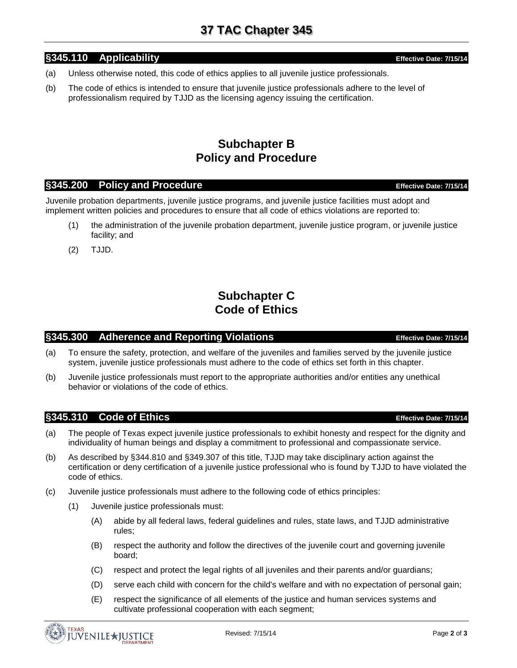## <span id="page-1-0"></span>**§345.110 Applicability Effective Date: 7/15/14**

- (a) Unless otherwise noted, this code of ethics applies to all juvenile justice professionals.
- (b) The code of ethics is intended to ensure that juvenile justice professionals adhere to the level of professionalism required by TJJD as the licensing agency issuing the certification.

# **Subchapter B Policy and Procedure**

## <span id="page-1-2"></span><span id="page-1-1"></span>**§345.200 Policy and Procedure Effective Date: 7/15/14**

Juvenile probation departments, juvenile justice programs, and juvenile justice facilities must adopt and implement written policies and procedures to ensure that all code of ethics violations are reported to:

- (1) the administration of the juvenile probation department, juvenile justice program, or juvenile justice facility; and
- <span id="page-1-3"></span>(2) TJJD.

# **Subchapter C Code of Ethics**

### <span id="page-1-4"></span>**§345.300 Adherence and Reporting Violations Effective Date: 7/15/14**

- (a) To ensure the safety, protection, and welfare of the juveniles and families served by the juvenile justice system, juvenile justice professionals must adhere to the code of ethics set forth in this chapter.
- (b) Juvenile justice professionals must report to the appropriate authorities and/or entities any unethical behavior or violations of the code of ethics.

### <span id="page-1-5"></span>**§345.310 Code of Ethics Effective Date: 7/15/14**

- (a) The people of Texas expect juvenile justice professionals to exhibit honesty and respect for the dignity and individuality of human beings and display a commitment to professional and compassionate service.
- (b) As described by §344.810 and §349.307 of this title, TJJD may take disciplinary action against the certification or deny certification of a juvenile justice professional who is found by TJJD to have violated the code of ethics.
- (c) Juvenile justice professionals must adhere to the following code of ethics principles:
	- (1) Juvenile justice professionals must:
		- (A) abide by all federal laws, federal guidelines and rules, state laws, and TJJD administrative rules;
		- (B) respect the authority and follow the directives of the juvenile court and governing juvenile board;
		- (C) respect and protect the legal rights of all juveniles and their parents and/or guardians;
		- (D) serve each child with concern for the child's welfare and with no expectation of personal gain;
		- (E) respect the significance of all elements of the justice and human services systems and cultivate professional cooperation with each segment;